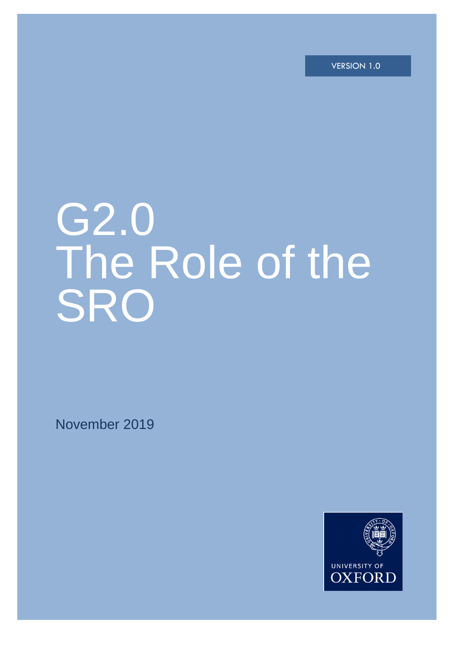VERSION 1.0

# G2.0 The Role of the SRO

i

November 2019

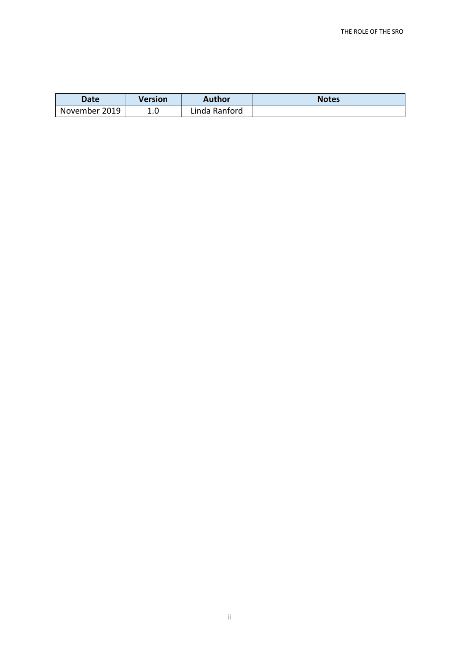| Date          | Version | Author        | <b>Notes</b> |
|---------------|---------|---------------|--------------|
| November 2019 | ⊥.∪     | Linda Ranford |              |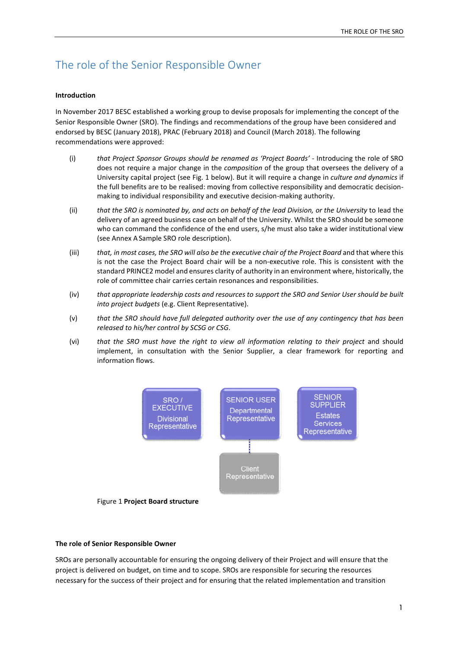## The role of the Senior Responsible Owner

#### **Introduction**

In November 2017 BESC established a working group to devise proposals for implementing the concept of the Senior Responsible Owner (SRO). The findings and recommendations of the group have been considered and endorsed by BESC (January 2018), PRAC (February 2018) and Council (March 2018). The following recommendations were approved:

- (i) *that Project Sponsor Groups should be renamed as 'Project Boards'* Introducing the role of SRO does not require a major change in the *composition* of the group that oversees the delivery of a University capital project (see Fig. 1 below). But it will require a change in *culture and dynamics* if the full benefits are to be realised: moving from collective responsibility and democratic decisionmaking to individual responsibility and executive decision-making authority.
- (ii) *that the SRO is nominated by, and acts on behalf of the lead Division, or the University* to lead the delivery of an agreed business case on behalf of the University. Whilst the SRO should be someone who can command the confidence of the end users, s/he must also take a wider institutional view (see Annex A Sample SRO role description).
- (iii) *that, in most cases, the SRO will also be the executive chair of the Project Board* and that where this is not the case the Project Board chair will be a non-executive role. This is consistent with the standard PRINCE2 model and ensures clarity of authority in an environment where, historically, the role of committee chair carries certain resonances and responsibilities.
- (iv) *that appropriate leadership costs and resources to support the SRO and Senior User should be built into project budgets* (e.g. Client Representative).
- (v) *that the SRO should have full delegated authority over the use of any contingency that has been released to his/her control by SCSG or CSG*.
- (vi) *that the SRO must have the right to view all information relating to their project* and should implement, in consultation with the Senior Supplier, a clear framework for reporting and information flows.



#### **The role of Senior Responsible Owner**

SROs are personally accountable for ensuring the ongoing delivery of their Project and will ensure that the project is delivered on budget, on time and to scope. SROs are responsible for securing the resources necessary for the success of their project and for ensuring that the related implementation and transition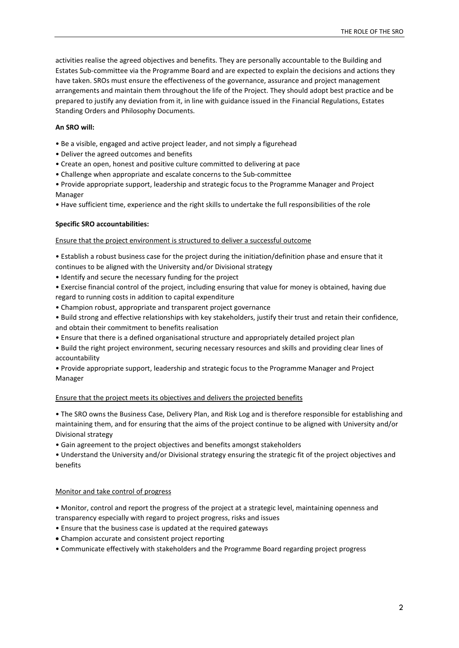activities realise the agreed objectives and benefits. They are personally accountable to the Building and Estates Sub-committee via the Programme Board and are expected to explain the decisions and actions they have taken. SROs must ensure the effectiveness of the governance, assurance and project management arrangements and maintain them throughout the life of the Project. They should adopt best practice and be prepared to justify any deviation from it, in line with guidance issued in the Financial Regulations, Estates Standing Orders and Philosophy Documents.

#### **An SRO will:**

- Be a visible, engaged and active project leader, and not simply a figurehead
- Deliver the agreed outcomes and benefits
- Create an open, honest and positive culture committed to delivering at pace
- Challenge when appropriate and escalate concerns to the Sub-committee

• Provide appropriate support, leadership and strategic focus to the Programme Manager and Project Manager

• Have sufficient time, experience and the right skills to undertake the full responsibilities of the role

#### **Specific SRO accountabilities:**

#### Ensure that the project environment is structured to deliver a successful outcome

• Establish a robust business case for the project during the initiation/definition phase and ensure that it continues to be aligned with the University and/or Divisional strategy

- Identify and secure the necessary funding for the project
- Exercise financial control of the project, including ensuring that value for money is obtained, having due regard to running costs in addition to capital expenditure
- Champion robust, appropriate and transparent project governance
- Build strong and effective relationships with key stakeholders, justify their trust and retain their confidence, and obtain their commitment to benefits realisation
- Ensure that there is a defined organisational structure and appropriately detailed project plan
- Build the right project environment, securing necessary resources and skills and providing clear lines of accountability
- Provide appropriate support, leadership and strategic focus to the Programme Manager and Project Manager

#### Ensure that the project meets its objectives and delivers the projected benefits

• The SRO owns the Business Case, Delivery Plan, and Risk Log and is therefore responsible for establishing and maintaining them, and for ensuring that the aims of the project continue to be aligned with University and/or Divisional strategy

• Gain agreement to the project objectives and benefits amongst stakeholders

• Understand the University and/or Divisional strategy ensuring the strategic fit of the project objectives and benefits

#### Monitor and take control of progress

• Monitor, control and report the progress of the project at a strategic level, maintaining openness and transparency especially with regard to project progress, risks and issues

- Ensure that the business case is updated at the required gateways
- Champion accurate and consistent project reporting
- Communicate effectively with stakeholders and the Programme Board regarding project progress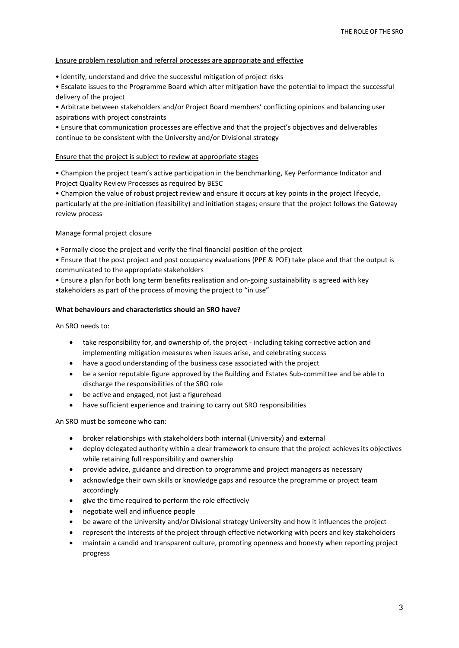#### Ensure problem resolution and referral processes are appropriate and effective

- Identify, understand and drive the successful mitigation of project risks
- Escalate issues to the Programme Board which after mitigation have the potential to impact the successful delivery of the project
- Arbitrate between stakeholders and/or Project Board members' conflicting opinions and balancing user aspirations with project constraints
- Ensure that communication processes are effective and that the project's objectives and deliverables continue to be consistent with the University and/or Divisional strategy

#### Ensure that the project is subject to review at appropriate stages

• Champion the project team's active participation in the benchmarking, Key Performance Indicator and Project Quality Review Processes as required by BESC

• Champion the value of robust project review and ensure it occurs at key points in the project lifecycle, particularly at the pre-initiation (feasibility) and initiation stages; ensure that the project follows the Gateway review process

### Manage formal project closure

• Formally close the project and verify the final financial position of the project

• Ensure that the post project and post occupancy evaluations (PPE & POE) take place and that the output is communicated to the appropriate stakeholders

• Ensure a plan for both long term benefits realisation and on-going sustainability is agreed with key stakeholders as part of the process of moving the project to "in use"

#### **What behaviours and characteristics should an SRO have?**

An SRO needs to:

- take responsibility for, and ownership of, the project including taking corrective action and implementing mitigation measures when issues arise, and celebrating success
- have a good understanding of the business case associated with the project
- be a senior reputable figure approved by the Building and Estates Sub-committee and be able to discharge the responsibilities of the SRO role
- be active and engaged, not just a figurehead
- have sufficient experience and training to carry out SRO responsibilities

An SRO must be someone who can:

- broker relationships with stakeholders both internal (University) and external
- deploy delegated authority within a clear framework to ensure that the project achieves its objectives while retaining full responsibility and ownership
- provide advice, guidance and direction to programme and project managers as necessary
- acknowledge their own skills or knowledge gaps and resource the programme or project team accordingly
- give the time required to perform the role effectively
- negotiate well and influence people
- be aware of the University and/or Divisional strategy University and how it influences the project
- represent the interests of the project through effective networking with peers and key stakeholders
- maintain a candid and transparent culture, promoting openness and honesty when reporting project progress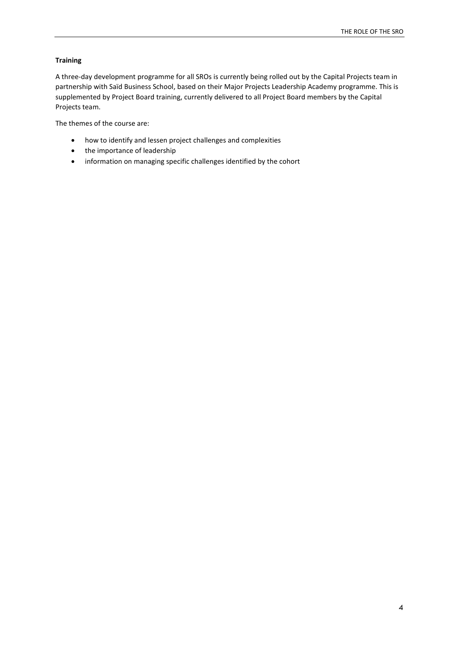### **Training**

A three-day development programme for all SROs is currently being rolled out by the Capital Projects team in partnership with Saïd Business School, based on their Major Projects Leadership Academy programme. This is supplemented by Project Board training, currently delivered to all Project Board members by the Capital Projects team.

The themes of the course are:

- how to identify and lessen project challenges and complexities
- the importance of leadership
- information on managing specific challenges identified by the cohort